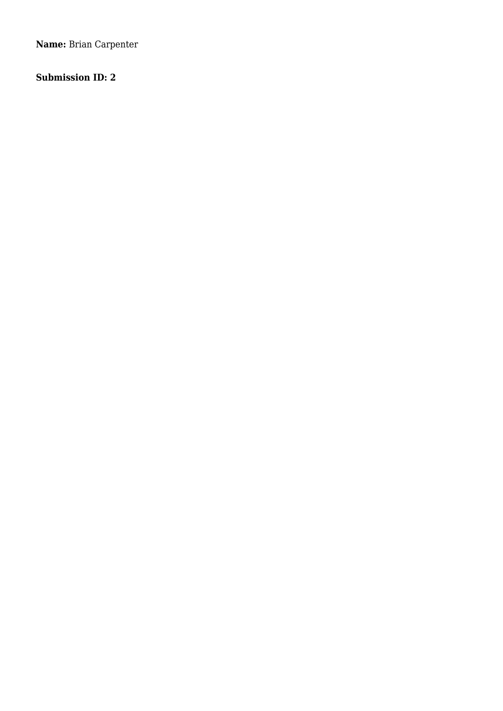**Name:** Brian Carpenter

# **Submission ID: 2**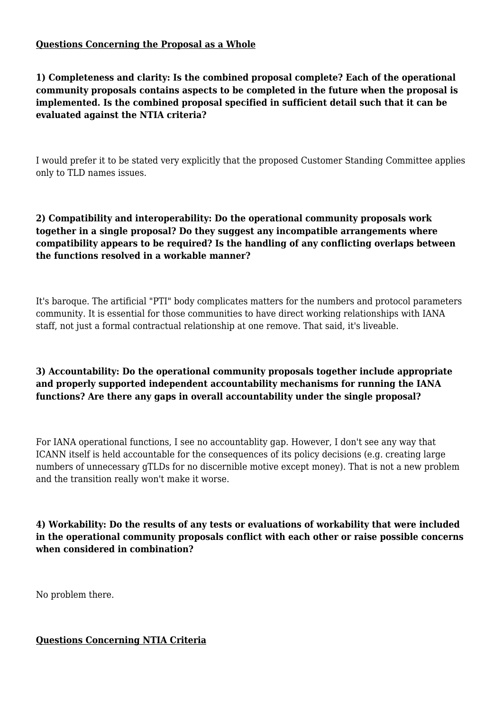#### **Questions Concerning the Proposal as a Whole**

**1) Completeness and clarity: Is the combined proposal complete? Each of the operational community proposals contains aspects to be completed in the future when the proposal is implemented. Is the combined proposal specified in sufficient detail such that it can be evaluated against the NTIA criteria?**

I would prefer it to be stated very explicitly that the proposed Customer Standing Committee applies only to TLD names issues.

## **2) Compatibility and interoperability: Do the operational community proposals work together in a single proposal? Do they suggest any incompatible arrangements where compatibility appears to be required? Is the handling of any conflicting overlaps between the functions resolved in a workable manner?**

It's baroque. The artificial "PTI" body complicates matters for the numbers and protocol parameters community. It is essential for those communities to have direct working relationships with IANA staff, not just a formal contractual relationship at one remove. That said, it's liveable.

## **3) Accountability: Do the operational community proposals together include appropriate and properly supported independent accountability mechanisms for running the IANA functions? Are there any gaps in overall accountability under the single proposal?**

For IANA operational functions, I see no accountablity gap. However, I don't see any way that ICANN itself is held accountable for the consequences of its policy decisions (e.g. creating large numbers of unnecessary gTLDs for no discernible motive except money). That is not a new problem and the transition really won't make it worse.

**4) Workability: Do the results of any tests or evaluations of workability that were included in the operational community proposals conflict with each other or raise possible concerns when considered in combination?**

No problem there.

#### **Questions Concerning NTIA Criteria**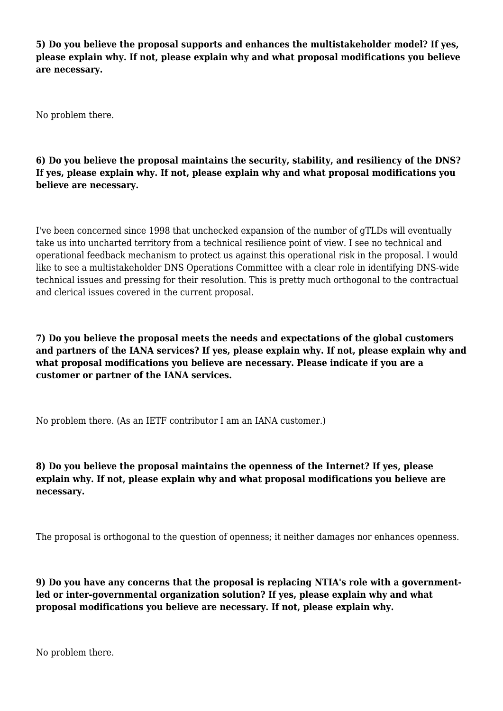**5) Do you believe the proposal supports and enhances the multistakeholder model? If yes, please explain why. If not, please explain why and what proposal modifications you believe are necessary.**

No problem there.

**6) Do you believe the proposal maintains the security, stability, and resiliency of the DNS? If yes, please explain why. If not, please explain why and what proposal modifications you believe are necessary.**

I've been concerned since 1998 that unchecked expansion of the number of gTLDs will eventually take us into uncharted territory from a technical resilience point of view. I see no technical and operational feedback mechanism to protect us against this operational risk in the proposal. I would like to see a multistakeholder DNS Operations Committee with a clear role in identifying DNS-wide technical issues and pressing for their resolution. This is pretty much orthogonal to the contractual and clerical issues covered in the current proposal.

**7) Do you believe the proposal meets the needs and expectations of the global customers and partners of the IANA services? If yes, please explain why. If not, please explain why and what proposal modifications you believe are necessary. Please indicate if you are a customer or partner of the IANA services.**

No problem there. (As an IETF contributor I am an IANA customer.)

**8) Do you believe the proposal maintains the openness of the Internet? If yes, please explain why. If not, please explain why and what proposal modifications you believe are necessary.**

The proposal is orthogonal to the question of openness; it neither damages nor enhances openness.

**9) Do you have any concerns that the proposal is replacing NTIA's role with a governmentled or inter-governmental organization solution? If yes, please explain why and what proposal modifications you believe are necessary. If not, please explain why.**

No problem there.